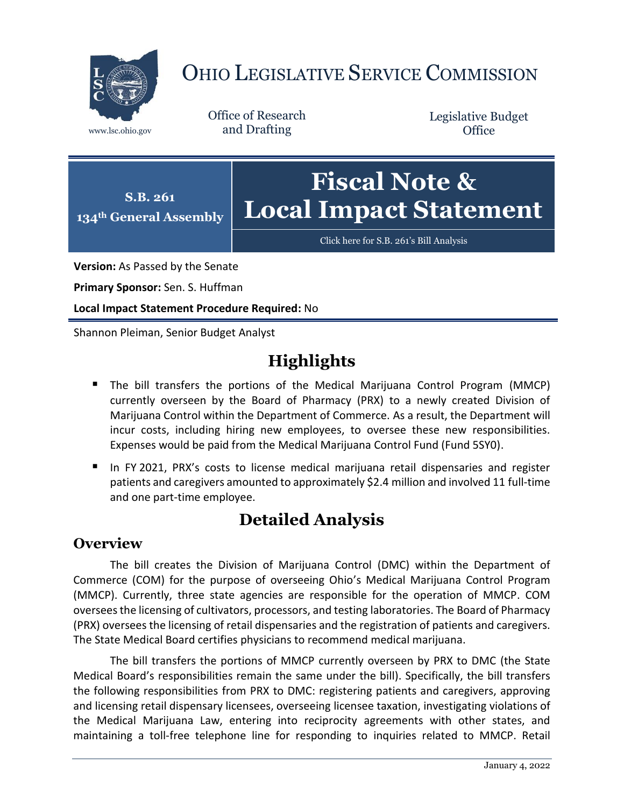

# OHIO LEGISLATIVE SERVICE COMMISSION

Office of Research www.lsc.ohio.gov and Drafting

Legislative Budget **Office** 



[Click here for S.B. 261](https://www.legislature.ohio.gov/legislation/legislation-documents?id=GA134-SB-261)'s Bill Analysis

**Version:** As Passed by the Senate

**Primary Sponsor:** Sen. S. Huffman

**Local Impact Statement Procedure Required:** No

Shannon Pleiman, Senior Budget Analyst

## **Highlights**

- The bill transfers the portions of the Medical Marijuana Control Program (MMCP) currently overseen by the Board of Pharmacy (PRX) to a newly created Division of Marijuana Control within the Department of Commerce. As a result, the Department will incur costs, including hiring new employees, to oversee these new responsibilities. Expenses would be paid from the Medical Marijuana Control Fund (Fund 5SY0).
- In FY 2021, PRX's costs to license medical marijuana retail dispensaries and register patients and caregivers amounted to approximately \$2.4 million and involved 11 full-time and one part-time employee.

### **Detailed Analysis**

#### **Overview**

The bill creates the Division of Marijuana Control (DMC) within the Department of Commerce (COM) for the purpose of overseeing Ohio's Medical Marijuana Control Program (MMCP). Currently, three state agencies are responsible for the operation of MMCP. COM oversees the licensing of cultivators, processors, and testing laboratories. The Board of Pharmacy (PRX) oversees the licensing of retail dispensaries and the registration of patients and caregivers. The State Medical Board certifies physicians to recommend medical marijuana.

The bill transfers the portions of MMCP currently overseen by PRX to DMC (the State Medical Board's responsibilities remain the same under the bill). Specifically, the bill transfers the following responsibilities from PRX to DMC: registering patients and caregivers, approving and licensing retail dispensary licensees, overseeing licensee taxation, investigating violations of the Medical Marijuana Law, entering into reciprocity agreements with other states, and maintaining a toll-free telephone line for responding to inquiries related to MMCP. Retail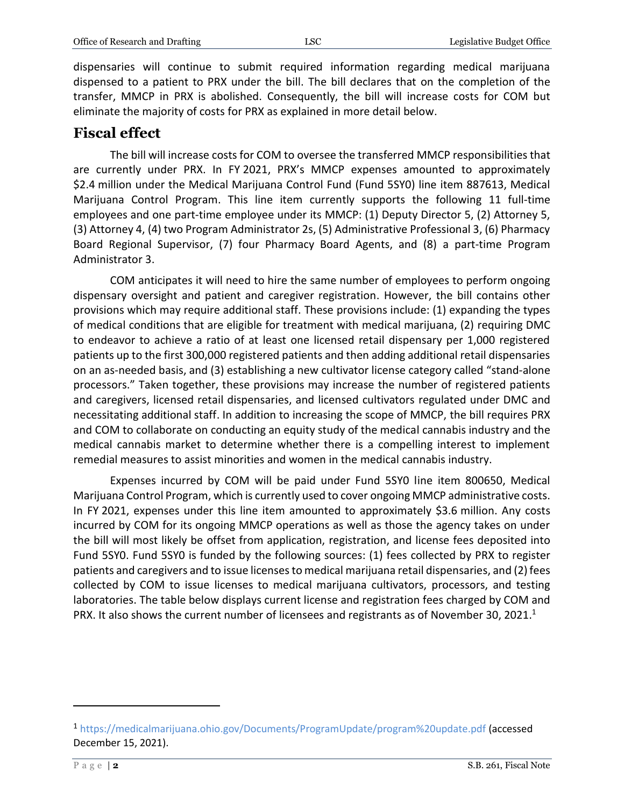dispensaries will continue to submit required information regarding medical marijuana dispensed to a patient to PRX under the bill. The bill declares that on the completion of the transfer, MMCP in PRX is abolished. Consequently, the bill will increase costs for COM but eliminate the majority of costs for PRX as explained in more detail below.

#### **Fiscal effect**

The bill will increase costs for COM to oversee the transferred MMCP responsibilities that are currently under PRX. In FY 2021, PRX's MMCP expenses amounted to approximately \$2.4 million under the Medical Marijuana Control Fund (Fund 5SY0) line item 887613, Medical Marijuana Control Program. This line item currently supports the following 11 full-time employees and one part-time employee under its MMCP: (1) Deputy Director 5, (2) Attorney 5, (3) Attorney 4, (4) two Program Administrator 2s, (5) Administrative Professional 3, (6) Pharmacy Board Regional Supervisor, (7) four Pharmacy Board Agents, and (8) a part-time Program Administrator 3.

COM anticipates it will need to hire the same number of employees to perform ongoing dispensary oversight and patient and caregiver registration. However, the bill contains other provisions which may require additional staff. These provisions include: (1) expanding the types of medical conditions that are eligible for treatment with medical marijuana, (2) requiring DMC to endeavor to achieve a ratio of at least one licensed retail dispensary per 1,000 registered patients up to the first 300,000 registered patients and then adding additional retail dispensaries on an as-needed basis, and (3) establishing a new cultivator license category called "stand-alone processors." Taken together, these provisions may increase the number of registered patients and caregivers, licensed retail dispensaries, and licensed cultivators regulated under DMC and necessitating additional staff. In addition to increasing the scope of MMCP, the bill requires PRX and COM to collaborate on conducting an equity study of the medical cannabis industry and the medical cannabis market to determine whether there is a compelling interest to implement remedial measures to assist minorities and women in the medical cannabis industry.

Expenses incurred by COM will be paid under Fund 5SY0 line item 800650, Medical Marijuana Control Program, which is currently used to cover ongoing MMCP administrative costs. In FY 2021, expenses under this line item amounted to approximately \$3.6 million. Any costs incurred by COM for its ongoing MMCP operations as well as those the agency takes on under the bill will most likely be offset from application, registration, and license fees deposited into Fund 5SY0. Fund 5SY0 is funded by the following sources: (1) fees collected by PRX to register patients and caregivers and to issue licenses to medical marijuana retail dispensaries, and (2) fees collected by COM to issue licenses to medical marijuana cultivators, processors, and testing laboratories. The table below displays current license and registration fees charged by COM and PRX. It also shows the current number of licensees and registrants as of November 30, 2021.<sup>1</sup>

 $\overline{a}$ 

<sup>1</sup> <https://medicalmarijuana.ohio.gov/Documents/ProgramUpdate/program%20update.pdf> (accessed December 15, 2021).